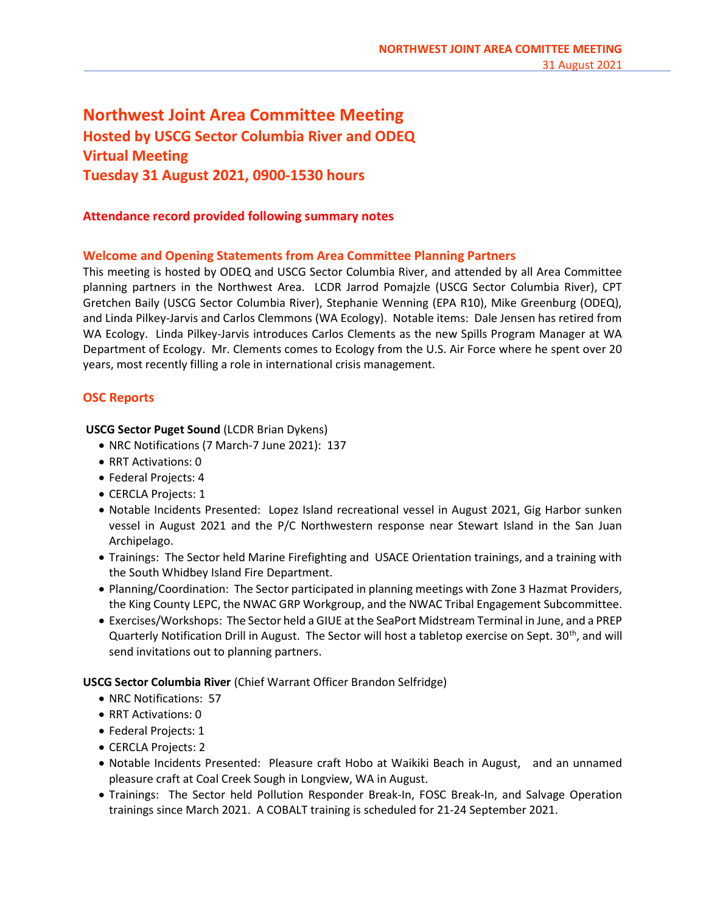# Northwest Joint Area Committee Meeting Hosted by USCG Sector Columbia River and ODEQ Virtual Meeting Tuesday 31 August 2021, 0900-1530 hours

# Attendance record provided following summary notes

# Welcome and Opening Statements from Area Committee Planning Partners

This meeting is hosted by ODEQ and USCG Sector Columbia River, and attended by all Area Committee planning partners in the Northwest Area. LCDR Jarrod Pomajzle (USCG Sector Columbia River), CPT Gretchen Baily (USCG Sector Columbia River), Stephanie Wenning (EPA R10), Mike Greenburg (ODEQ), and Linda Pilkey-Jarvis and Carlos Clemmons (WA Ecology). Notable items: Dale Jensen has retired from WA Ecology. Linda Pilkey-Jarvis introduces Carlos Clements as the new Spills Program Manager at WA Department of Ecology. Mr. Clements comes to Ecology from the U.S. Air Force where he spent over 20 years, most recently filling a role in international crisis management.

# OSC Reports

#### USCG Sector Puget Sound (LCDR Brian Dykens)

- NRC Notifications (7 March-7 June 2021): 137
- RRT Activations: 0
- Federal Projects: 4
- CERCLA Projects: 1
- Notable Incidents Presented: Lopez Island recreational vessel in August 2021, Gig Harbor sunken vessel in August 2021 and the P/C Northwestern response near Stewart Island in the San Juan Archipelago.
- Trainings: The Sector held Marine Firefighting and USACE Orientation trainings, and a training with the South Whidbey Island Fire Department.
- Planning/Coordination: The Sector participated in planning meetings with Zone 3 Hazmat Providers, the King County LEPC, the NWAC GRP Workgroup, and the NWAC Tribal Engagement Subcommittee.
- Exercises/Workshops: The Sector held a GIUE at the SeaPort Midstream Terminal in June, and a PREP Quarterly Notification Drill in August. The Sector will host a tabletop exercise on Sept. 30<sup>th</sup>, and will send invitations out to planning partners.

USCG Sector Columbia River (Chief Warrant Officer Brandon Selfridge)

- NRC Notifications: 57
- RRT Activations: 0
- Federal Projects: 1
- CERCLA Projects: 2
- Notable Incidents Presented: Pleasure craft Hobo at Waikiki Beach in August, and an unnamed pleasure craft at Coal Creek Sough in Longview, WA in August.
- Trainings: The Sector held Pollution Responder Break-In, FOSC Break-In, and Salvage Operation trainings since March 2021. A COBALT training is scheduled for 21-24 September 2021.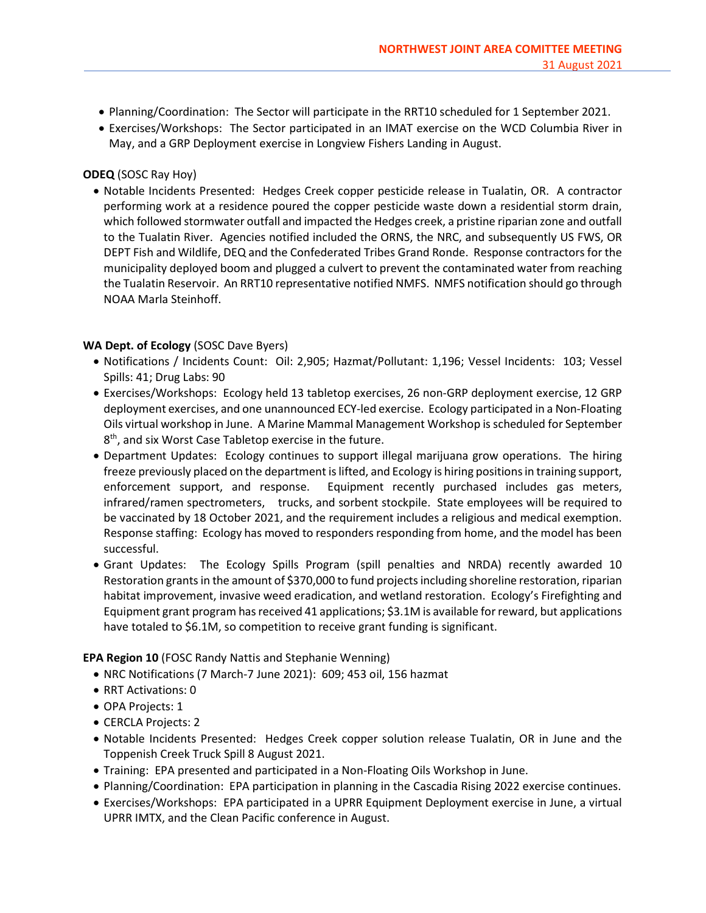- Planning/Coordination: The Sector will participate in the RRT10 scheduled for 1 September 2021.
- Exercises/Workshops: The Sector participated in an IMAT exercise on the WCD Columbia River in May, and a GRP Deployment exercise in Longview Fishers Landing in August.

# ODEQ (SOSC Ray Hoy)

 Notable Incidents Presented: Hedges Creek copper pesticide release in Tualatin, OR. A contractor performing work at a residence poured the copper pesticide waste down a residential storm drain, which followed stormwater outfall and impacted the Hedges creek, a pristine riparian zone and outfall to the Tualatin River. Agencies notified included the ORNS, the NRC, and subsequently US FWS, OR DEPT Fish and Wildlife, DEQ and the Confederated Tribes Grand Ronde. Response contractors for the municipality deployed boom and plugged a culvert to prevent the contaminated water from reaching the Tualatin Reservoir. An RRT10 representative notified NMFS. NMFS notification should go through NOAA Marla Steinhoff.

## WA Dept. of Ecology (SOSC Dave Byers)

- Notifications / Incidents Count: Oil: 2,905; Hazmat/Pollutant: 1,196; Vessel Incidents: 103; Vessel Spills: 41; Drug Labs: 90
- Exercises/Workshops: Ecology held 13 tabletop exercises, 26 non-GRP deployment exercise, 12 GRP deployment exercises, and one unannounced ECY-led exercise. Ecology participated in a Non-Floating Oils virtual workshop in June. A Marine Mammal Management Workshop is scheduled for September 8<sup>th</sup>, and six Worst Case Tabletop exercise in the future.
- Department Updates: Ecology continues to support illegal marijuana grow operations. The hiring freeze previously placed on the department is lifted, and Ecology is hiring positions in training support, enforcement support, and response. Equipment recently purchased includes gas meters, infrared/ramen spectrometers, trucks, and sorbent stockpile. State employees will be required to be vaccinated by 18 October 2021, and the requirement includes a religious and medical exemption. Response staffing: Ecology has moved to responders responding from home, and the model has been successful.
- Grant Updates: The Ecology Spills Program (spill penalties and NRDA) recently awarded 10 Restoration grants in the amount of \$370,000 to fund projects including shoreline restoration, riparian habitat improvement, invasive weed eradication, and wetland restoration. Ecology's Firefighting and Equipment grant program has received 41 applications; \$3.1M is available for reward, but applications have totaled to \$6.1M, so competition to receive grant funding is significant.

# EPA Region 10 (FOSC Randy Nattis and Stephanie Wenning)

- NRC Notifications (7 March-7 June 2021): 609; 453 oil, 156 hazmat
- RRT Activations: 0
- OPA Projects: 1
- CERCLA Projects: 2
- Notable Incidents Presented: Hedges Creek copper solution release Tualatin, OR in June and the Toppenish Creek Truck Spill 8 August 2021.
- Training: EPA presented and participated in a Non-Floating Oils Workshop in June.
- Planning/Coordination: EPA participation in planning in the Cascadia Rising 2022 exercise continues.
- Exercises/Workshops: EPA participated in a UPRR Equipment Deployment exercise in June, a virtual UPRR IMTX, and the Clean Pacific conference in August.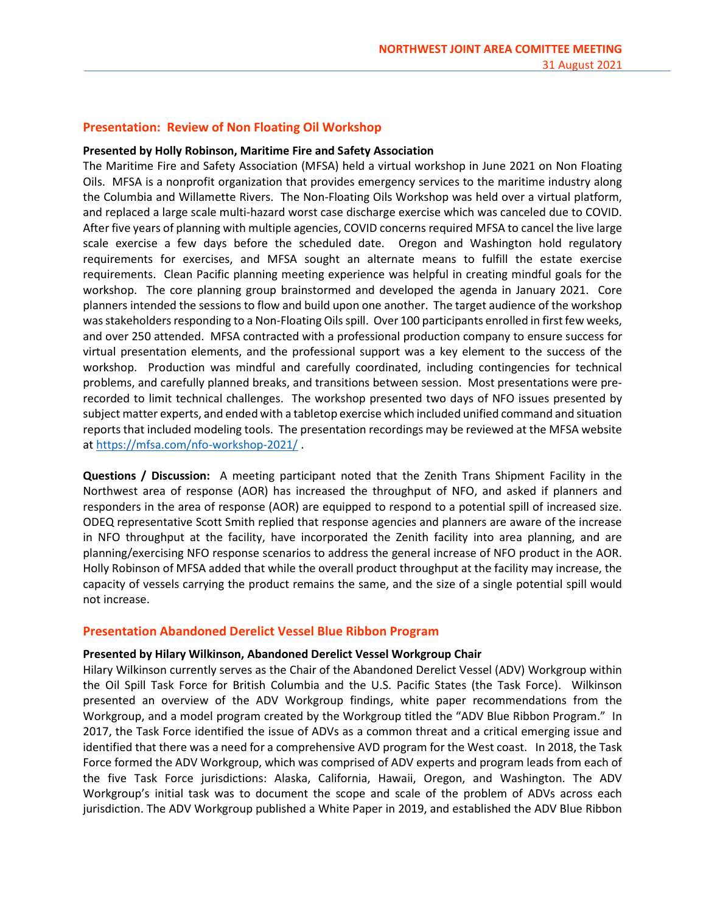# Presentation: Review of Non Floating Oil Workshop

#### Presented by Holly Robinson, Maritime Fire and Safety Association

The Maritime Fire and Safety Association (MFSA) held a virtual workshop in June 2021 on Non Floating Oils. MFSA is a nonprofit organization that provides emergency services to the maritime industry along the Columbia and Willamette Rivers. The Non-Floating Oils Workshop was held over a virtual platform, and replaced a large scale multi-hazard worst case discharge exercise which was canceled due to COVID. After five years of planning with multiple agencies, COVID concerns required MFSA to cancel the live large scale exercise a few days before the scheduled date. Oregon and Washington hold regulatory requirements for exercises, and MFSA sought an alternate means to fulfill the estate exercise requirements. Clean Pacific planning meeting experience was helpful in creating mindful goals for the workshop. The core planning group brainstormed and developed the agenda in January 2021. Core planners intended the sessions to flow and build upon one another. The target audience of the workshop was stakeholders responding to a Non-Floating Oils spill. Over 100 participants enrolled in first few weeks, and over 250 attended. MFSA contracted with a professional production company to ensure success for virtual presentation elements, and the professional support was a key element to the success of the workshop. Production was mindful and carefully coordinated, including contingencies for technical problems, and carefully planned breaks, and transitions between session. Most presentations were prerecorded to limit technical challenges. The workshop presented two days of NFO issues presented by subject matter experts, and ended with a tabletop exercise which included unified command and situation reports that included modeling tools. The presentation recordings may be reviewed at the MFSA website at https://mfsa.com/nfo-workshop-2021/ .

Questions / Discussion: A meeting participant noted that the Zenith Trans Shipment Facility in the Northwest area of response (AOR) has increased the throughput of NFO, and asked if planners and responders in the area of response (AOR) are equipped to respond to a potential spill of increased size. ODEQ representative Scott Smith replied that response agencies and planners are aware of the increase in NFO throughput at the facility, have incorporated the Zenith facility into area planning, and are planning/exercising NFO response scenarios to address the general increase of NFO product in the AOR. Holly Robinson of MFSA added that while the overall product throughput at the facility may increase, the capacity of vessels carrying the product remains the same, and the size of a single potential spill would not increase.

#### Presentation Abandoned Derelict Vessel Blue Ribbon Program

#### Presented by Hilary Wilkinson, Abandoned Derelict Vessel Workgroup Chair

Hilary Wilkinson currently serves as the Chair of the Abandoned Derelict Vessel (ADV) Workgroup within the Oil Spill Task Force for British Columbia and the U.S. Pacific States (the Task Force). Wilkinson presented an overview of the ADV Workgroup findings, white paper recommendations from the Workgroup, and a model program created by the Workgroup titled the "ADV Blue Ribbon Program." In 2017, the Task Force identified the issue of ADVs as a common threat and a critical emerging issue and identified that there was a need for a comprehensive AVD program for the West coast. In 2018, the Task Force formed the ADV Workgroup, which was comprised of ADV experts and program leads from each of the five Task Force jurisdictions: Alaska, California, Hawaii, Oregon, and Washington. The ADV Workgroup's initial task was to document the scope and scale of the problem of ADVs across each jurisdiction. The ADV Workgroup published a White Paper in 2019, and established the ADV Blue Ribbon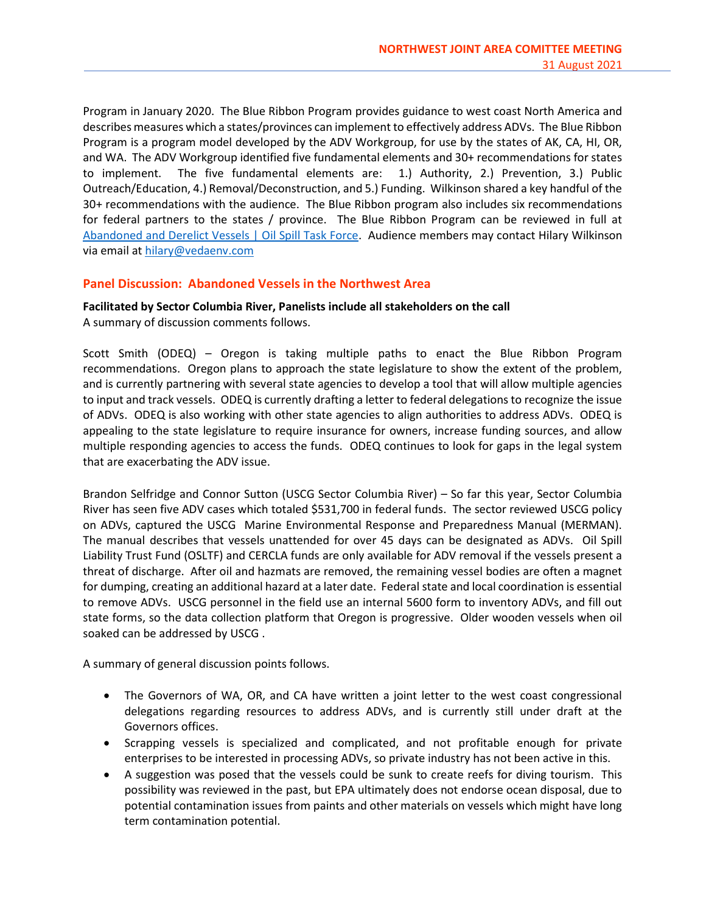Program in January 2020. The Blue Ribbon Program provides guidance to west coast North America and describes measures which a states/provinces can implement to effectively address ADVs. The Blue Ribbon Program is a program model developed by the ADV Workgroup, for use by the states of AK, CA, HI, OR, and WA. The ADV Workgroup identified five fundamental elements and 30+ recommendations for states to implement. The five fundamental elements are: 1.) Authority, 2.) Prevention, 3.) Public Outreach/Education, 4.) Removal/Deconstruction, and 5.) Funding. Wilkinson shared a key handful of the 30+ recommendations with the audience. The Blue Ribbon program also includes six recommendations for federal partners to the states / province. The Blue Ribbon Program can be reviewed in full at Abandoned and Derelict Vessels | Oil Spill Task Force. Audience members may contact Hilary Wilkinson via email at hilary@vedaenv.com

# Panel Discussion: Abandoned Vessels in the Northwest Area

Facilitated by Sector Columbia River, Panelists include all stakeholders on the call A summary of discussion comments follows.

Scott Smith (ODEQ) – Oregon is taking multiple paths to enact the Blue Ribbon Program recommendations. Oregon plans to approach the state legislature to show the extent of the problem, and is currently partnering with several state agencies to develop a tool that will allow multiple agencies to input and track vessels. ODEQ is currently drafting a letter to federal delegations to recognize the issue of ADVs. ODEQ is also working with other state agencies to align authorities to address ADVs. ODEQ is appealing to the state legislature to require insurance for owners, increase funding sources, and allow multiple responding agencies to access the funds. ODEQ continues to look for gaps in the legal system that are exacerbating the ADV issue.

Brandon Selfridge and Connor Sutton (USCG Sector Columbia River) – So far this year, Sector Columbia River has seen five ADV cases which totaled \$531,700 in federal funds. The sector reviewed USCG policy on ADVs, captured the USCG Marine Environmental Response and Preparedness Manual (MERMAN). The manual describes that vessels unattended for over 45 days can be designated as ADVs. Oil Spill Liability Trust Fund (OSLTF) and CERCLA funds are only available for ADV removal if the vessels present a threat of discharge. After oil and hazmats are removed, the remaining vessel bodies are often a magnet for dumping, creating an additional hazard at a later date. Federal state and local coordination is essential to remove ADVs. USCG personnel in the field use an internal 5600 form to inventory ADVs, and fill out state forms, so the data collection platform that Oregon is progressive. Older wooden vessels when oil soaked can be addressed by USCG .

A summary of general discussion points follows.

- The Governors of WA, OR, and CA have written a joint letter to the west coast congressional delegations regarding resources to address ADVs, and is currently still under draft at the Governors offices.
- Scrapping vessels is specialized and complicated, and not profitable enough for private enterprises to be interested in processing ADVs, so private industry has not been active in this.
- A suggestion was posed that the vessels could be sunk to create reefs for diving tourism. This possibility was reviewed in the past, but EPA ultimately does not endorse ocean disposal, due to potential contamination issues from paints and other materials on vessels which might have long term contamination potential.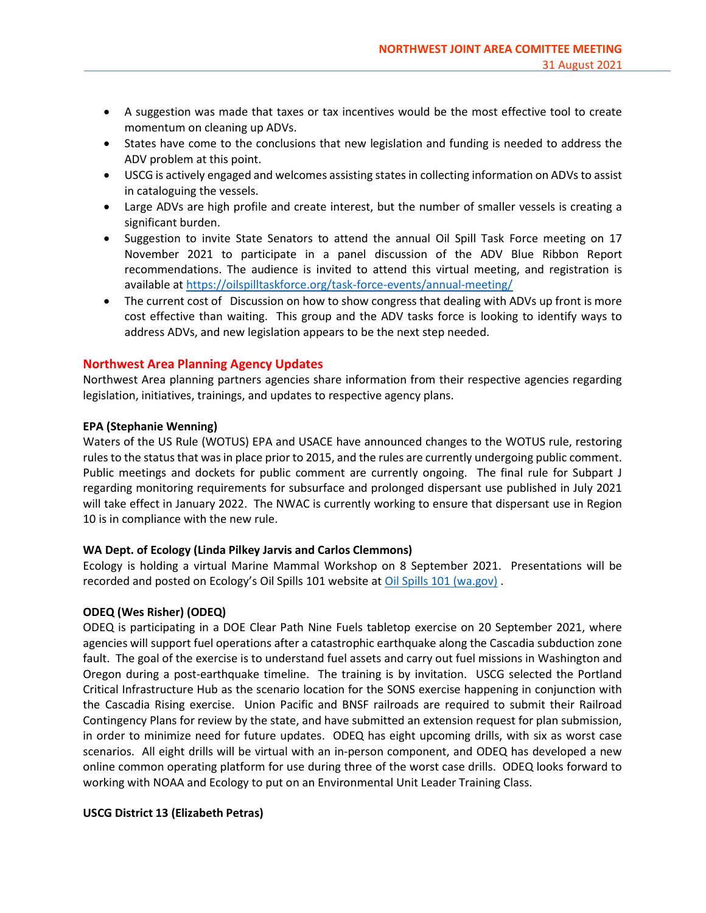- A suggestion was made that taxes or tax incentives would be the most effective tool to create momentum on cleaning up ADVs.
- States have come to the conclusions that new legislation and funding is needed to address the ADV problem at this point.
- USCG is actively engaged and welcomes assisting states in collecting information on ADVs to assist in cataloguing the vessels.
- Large ADVs are high profile and create interest, but the number of smaller vessels is creating a significant burden.
- Suggestion to invite State Senators to attend the annual Oil Spill Task Force meeting on 17 November 2021 to participate in a panel discussion of the ADV Blue Ribbon Report recommendations. The audience is invited to attend this virtual meeting, and registration is available at https://oilspilltaskforce.org/task-force-events/annual-meeting/
- The current cost of Discussion on how to show congress that dealing with ADVs up front is more cost effective than waiting. This group and the ADV tasks force is looking to identify ways to address ADVs, and new legislation appears to be the next step needed.

# Northwest Area Planning Agency Updates

Northwest Area planning partners agencies share information from their respective agencies regarding legislation, initiatives, trainings, and updates to respective agency plans.

## EPA (Stephanie Wenning)

Waters of the US Rule (WOTUS) EPA and USACE have announced changes to the WOTUS rule, restoring rules to the status that was in place prior to 2015, and the rules are currently undergoing public comment. Public meetings and dockets for public comment are currently ongoing. The final rule for Subpart J regarding monitoring requirements for subsurface and prolonged dispersant use published in July 2021 will take effect in January 2022. The NWAC is currently working to ensure that dispersant use in Region 10 is in compliance with the new rule.

# WA Dept. of Ecology (Linda Pilkey Jarvis and Carlos Clemmons)

Ecology is holding a virtual Marine Mammal Workshop on 8 September 2021. Presentations will be recorded and posted on Ecology's Oil Spills 101 website at Oil Spills 101 (wa.gov) .

# ODEQ (Wes Risher) (ODEQ)

ODEQ is participating in a DOE Clear Path Nine Fuels tabletop exercise on 20 September 2021, where agencies will support fuel operations after a catastrophic earthquake along the Cascadia subduction zone fault. The goal of the exercise is to understand fuel assets and carry out fuel missions in Washington and Oregon during a post-earthquake timeline. The training is by invitation. USCG selected the Portland Critical Infrastructure Hub as the scenario location for the SONS exercise happening in conjunction with the Cascadia Rising exercise. Union Pacific and BNSF railroads are required to submit their Railroad Contingency Plans for review by the state, and have submitted an extension request for plan submission, in order to minimize need for future updates. ODEQ has eight upcoming drills, with six as worst case scenarios. All eight drills will be virtual with an in-person component, and ODEQ has developed a new online common operating platform for use during three of the worst case drills. ODEQ looks forward to working with NOAA and Ecology to put on an Environmental Unit Leader Training Class.

# USCG District 13 (Elizabeth Petras)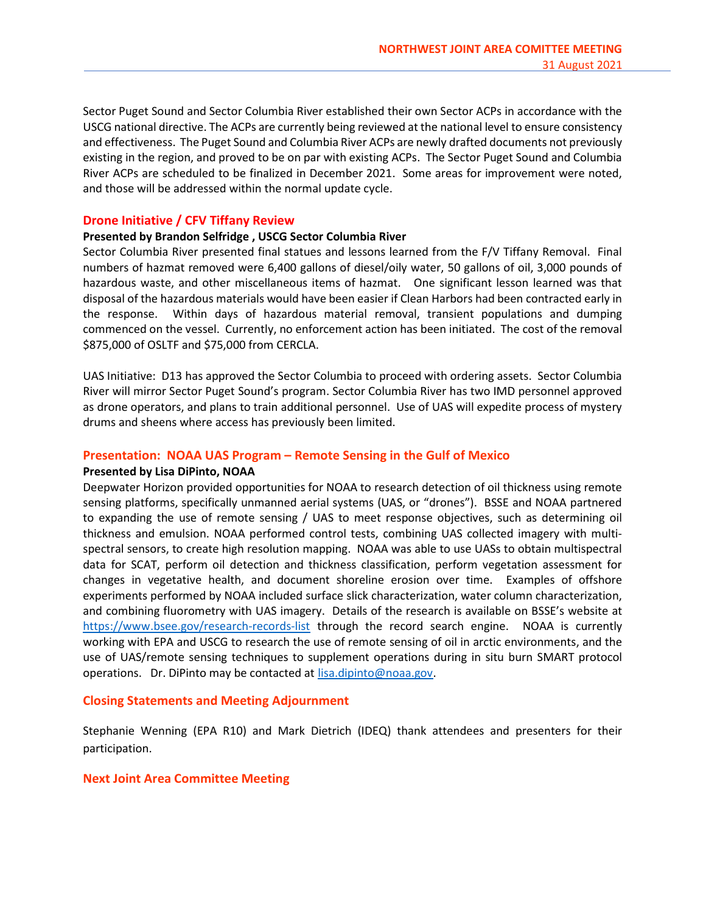Sector Puget Sound and Sector Columbia River established their own Sector ACPs in accordance with the USCG national directive. The ACPs are currently being reviewed at the national level to ensure consistency and effectiveness. The Puget Sound and Columbia River ACPs are newly drafted documents not previously existing in the region, and proved to be on par with existing ACPs. The Sector Puget Sound and Columbia River ACPs are scheduled to be finalized in December 2021. Some areas for improvement were noted, and those will be addressed within the normal update cycle.

#### Drone Initiative / CFV Tiffany Review

#### Presented by Brandon Selfridge , USCG Sector Columbia River

Sector Columbia River presented final statues and lessons learned from the F/V Tiffany Removal. Final numbers of hazmat removed were 6,400 gallons of diesel/oily water, 50 gallons of oil, 3,000 pounds of hazardous waste, and other miscellaneous items of hazmat. One significant lesson learned was that disposal of the hazardous materials would have been easier if Clean Harbors had been contracted early in the response. Within days of hazardous material removal, transient populations and dumping commenced on the vessel. Currently, no enforcement action has been initiated. The cost of the removal \$875,000 of OSLTF and \$75,000 from CERCLA.

UAS Initiative: D13 has approved the Sector Columbia to proceed with ordering assets. Sector Columbia River will mirror Sector Puget Sound's program. Sector Columbia River has two IMD personnel approved as drone operators, and plans to train additional personnel. Use of UAS will expedite process of mystery drums and sheens where access has previously been limited.

#### Presentation: NOAA UAS Program – Remote Sensing in the Gulf of Mexico

#### Presented by Lisa DiPinto, NOAA

Deepwater Horizon provided opportunities for NOAA to research detection of oil thickness using remote sensing platforms, specifically unmanned aerial systems (UAS, or "drones"). BSSE and NOAA partnered to expanding the use of remote sensing / UAS to meet response objectives, such as determining oil thickness and emulsion. NOAA performed control tests, combining UAS collected imagery with multispectral sensors, to create high resolution mapping. NOAA was able to use UASs to obtain multispectral data for SCAT, perform oil detection and thickness classification, perform vegetation assessment for changes in vegetative health, and document shoreline erosion over time. Examples of offshore experiments performed by NOAA included surface slick characterization, water column characterization, and combining fluorometry with UAS imagery. Details of the research is available on BSSE's website at https://www.bsee.gov/research-records-list through the record search engine. NOAA is currently working with EPA and USCG to research the use of remote sensing of oil in arctic environments, and the use of UAS/remote sensing techniques to supplement operations during in situ burn SMART protocol operations. Dr. DiPinto may be contacted at lisa.dipinto@noaa.gov.

#### Closing Statements and Meeting Adjournment

Stephanie Wenning (EPA R10) and Mark Dietrich (IDEQ) thank attendees and presenters for their participation.

#### Next Joint Area Committee Meeting